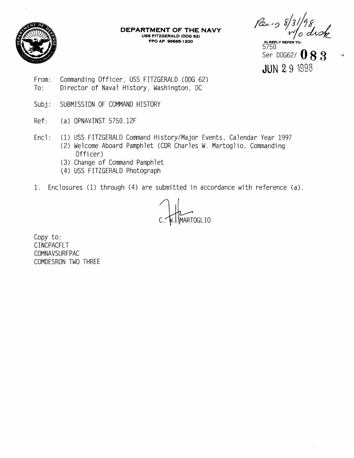

**DEPARTMENT OF THE NAVY USS FITZGERALD (DDG 62)**<br>FPO AP 96665-1200 **FPO AP 96665-1200 IN REPLY REFER TO:** 

5750  $\frac{5000}{200}$  DDG62/  $083$ JUN **2** 9 1998

- From: Commanding Officer, USS FITZGERALD (DDG 62) To: Director of Naval History, Washington, DC
- Subj: SUBMISSION OF COMMAND HISTORY
- Ref: (a) OPNAVINST 5750.12F
- Encl: (1) USS FITZGERALD Command History/Major Events, Calendar Year 1997 (2) Welcome Aboard Pamphlet (CDR Charles W. Martoglio, Commanding Officer)
	- (3) Change of Command Pamphlet
	- (4) USS FITZGERALD Photograph
- 1. Enclosures (1) through (4) are submitted in accordance with reference (a).

MARTOGLIO

Copy to: CINCPACFLT COMNAVSURFPAC COMDESRON TWO THREE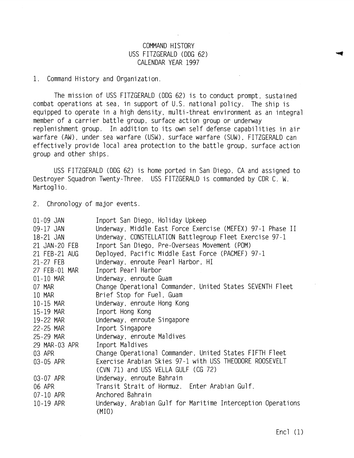## COMMAND HISTORY USS FITZGERALD (DDG 62) CALENDAR YEAR 1997

1. Command History and Organization.

The mission of USS FITZGERALD (DDG 62) is to conduct prompt, sustained combat operations at sea, in support of U.S. national policy. The ship is equipped to operate in a high density. multi -threat environment as an integral member of a carrier battle group, surface action group or underway replenishment group. In addition to its own self defense capabilities in air warfare (AW), under sea warfare (USW), surface warfare (SUW), FITZGERALD can effectively provide local area protection to the battle group, surface action group and other ships.

USS FITZGERALD (DDG 62) is home ported in San Diego, CA and assigned to Destroyer Squadron Twenty-Three. USS FITZGERALD is commanded by CDR C. W. Martoglio.

2. Chronology of major events.

| $01 - 09$ JAN | Inport San Diego, Holiday Upkeep                                     |
|---------------|----------------------------------------------------------------------|
| 09-17 JAN     | Underway, Middle East Force Exercise (MEFEX) 97-1 Phase II           |
| 18-21 JAN     | Underway, CONSTELLATION Battlegroup Fleet Exercise 97-1              |
| 21 JAN-20 FEB | Inport San Diego, Pre-Overseas Movement (POM)                        |
| 21 FEB-21 AUG | Deployed, Pacific Middle East Force (PACMEF) 97-1                    |
| 21-27 FEB     | Underway, enroute Pearl Harbor, HI                                   |
| 27 FEB-01 MAR | Inport Pearl Harbor                                                  |
| 01-10 MAR     | Underway, enroute Guam                                               |
| 07 MAR        | Change Operational Commander, United States SEVENTH Fleet            |
| 10 MAR        | Brief Stop for Fuel, Guam                                            |
| 10-15 MAR     | Underway, enroute Hong Kong                                          |
| 15-19 MAR     | Inport Hong Kong                                                     |
| 19-22 MAR     | Underway, enroute Singapore                                          |
| 22-25 MAR     | Inport Singapore                                                     |
| 25-29 MAR     | Underway, enroute Maldives                                           |
| 29 MAR-03 APR | Inport Maldives                                                      |
| 03 APR        | Change Operational Commander, United States FIFTH Fleet              |
| 03-05 APR     | Exercise Arabian Skies 97-1 with USS THEODORE ROOSEVELT              |
|               | (CVN 71) and USS VELLA GULF (CG 72)                                  |
| 03-07 APR     | Underway, enroute Bahrain                                            |
| 06 APR        | Transit Strait of Hormuz. Enter Arabian Gulf.                        |
| 07-10 APR     | Anchored Bahrain                                                     |
| 10-19 APR     | Underway, Arabian Gulf for Maritime Interception Operations<br>(MIO) |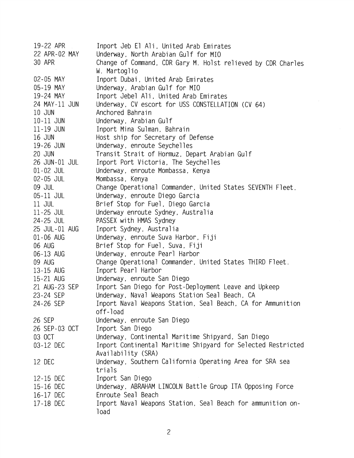| 19-22 APR     | Inport Jeb El Ali, United Arab Emirates                                |
|---------------|------------------------------------------------------------------------|
| 22 APR-02 MAY | Underway, North Arabian Gulf for MIO                                   |
| 30 APR        | Change of Command, CDR Gary M. Holst relieved by CDR Charles           |
|               | W. Martoglio                                                           |
| 02-05 MAY     | Inport Dubai, United Arab Emirates                                     |
| 05-19 MAY     | Underway, Arabian Gulf for MIO                                         |
| 19-24 MAY     | Inport Jebel Ali, United Arab Emirates                                 |
| 24 MAY-11 JUN | Underway, CV escort for USS CONSTELLATION (CV 64)                      |
| 10 JUN        | Anchored Bahrain                                                       |
| 10-11 JUN     | Underway, Arabian Gulf                                                 |
| 11-19 JUN     | Inport Mina Sulman, Bahrain                                            |
| 16 JUN        | Host ship for Secretary of Defense                                     |
| 19-26 JUN     | Underway, enroute Seychelles                                           |
| 20 JUN        | Transit Strait of Hormuz, Depart Arabian Gulf                          |
| 26 JUN-01 JUL | Inport Port Victoria, The Seychelles                                   |
| 01-02 JUL     | Underway, enroute Mombassa, Kenya                                      |
| 02-05 JUL     | Mombassa, Kenya                                                        |
| 09 JUL        | Change Operational Commander, United States SEVENTH Fleet.             |
| 05-11 JUL     | Underway, enroute Diego Garcia                                         |
| 11 JUL        | Brief Stop for Fuel, Diego Garcia                                      |
| 11-25 JUL     | Underway enroute Sydney, Australia                                     |
| 24-25 JUL     | PASSEX with HMAS Sydney                                                |
| 25 JUL-01 AUG | Inport Sydney, Australia                                               |
| 01-06 AUG     | Underway, enroute Suva Harbor, Fiji                                    |
| 06 AUG        | Brief Stop for Fuel, Suva, Fiji                                        |
| 06-13 AUG     | Underway, enroute Pearl Harbor                                         |
| 09 AUG        | Change Operational Commander, United States THIRD Fleet.               |
| 13-15 AUG     | Inport Pearl Harbor                                                    |
| 15-21 AUG     | Underway, enroute San Diego                                            |
| 21 AUG-23 SEP | Inport San Diego for Post-Deployment Leave and Upkeep                  |
| 23-24 SEP     | Underway, Naval Weapons Station Seal Beach, CA                         |
| 24-26 SEP     | Inport Naval Weapons Station, Seal Beach, CA for Ammunition            |
|               | off-load                                                               |
| 26 SEP        | Underway, enroute San Diego                                            |
| 26 SEP-03 OCT | Inport San Diego<br>Underway, Continental Maritime Shipyard, San Diego |
| 03 OCT        | Inport Continental Maritime Shipyard for Selected Restricted           |
| 03-12 DEC     | Availability (SRA)                                                     |
| 12 DEC        | Underway, Southern California Operating Area for SRA sea               |
|               | trials                                                                 |
| 12-15 DEC     | Inport San Diego                                                       |
| 15-16 DEC     | Underway, ABRAHAM LINCOLN Battle Group ITA Opposing Force              |
| 16-17 DEC     | Enroute Seal Beach                                                     |
| 17-18 DEC     | Inport Naval Weapons Station, Seal Beach for ammunition on-            |
|               | load                                                                   |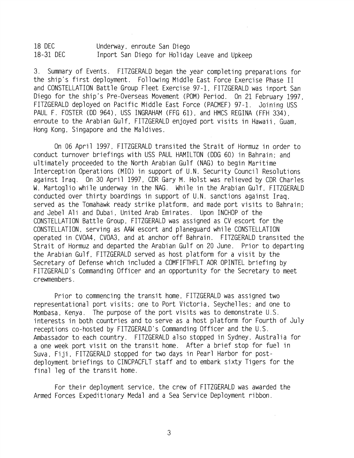18 DEC Underway, enroute San Diego 18-31 DEC Inport San Diego for Holiday Leave and Upkeep

3. Summary of Events. FITZGERALD began the year completing preparations for the ship's first deployment. Following Middle East Force Exercise Phase I1 and CONSTELLATION Battle Group Fleet Exercise 97-1, FITZGERALD was inport San Diego for the ship's Pre-Overseas Movement (POM) Period. On 21 February 1997, FITZGERALD deployed on Pacific Middle East Force (PACMEF) 97-1. Joining USS PAUL F. FOSTER (DD 964), USS INGRAHAM (FFG 61), and HMCS REGINA (FFH 334). enroute to the Arabian Gulf, FITZGERALD enjoyed port visits in Hawaii , Guam, Hong Kong, Singapore and the Maldives.

On 06 April 1997, FITZGERALD transited the Strait of Hormuz in order to conduct turnover briefings with USS PAUL HAMILTON (DDG 60) in Bahrain; and ultimately proceeded to the North Arabian Gulf (NAG) to begin Maritime Interception Operations (MIO) in support of U.N. Security Council Resolutions against Iraq. On 30 April 1997, CDR Gary M. Holst was relieved by CDR Charles W. Martoglio while underway in the NAG. While in the Arabian Gulf, FITZGERALD conducted over thirty boardings in support of U.N. sanctions against Iraq, served as the Tomahawk ready strike platform, and made port visits to Bahrain; and Jebel Ali and Dubai, United Arab Emirates. Upon INCHOP of the CONSTELLATION Battle Group. FITZGERALD was assigned as CV escort for the CONSTELLATION, serving as AAW escort and planeguard while CONSTELLATION operated in CVOA4. CVOA3, and at anchor off Bahrain. FITZGERALD transited the Strait of Hormuz and departed the Arabian Gulf on 20 June. Prior to departing the Arabian Gulf, FITZGERALD served as host platform for a visit by the Secretary of Defense which included a COMFIFTHFLT AOR OPINTEL briefing by FITZGERALD's Commanding Officer and an opportunity for the Secretary to meet crewmembers.

Prior to commencing the transit home, FITZGERALD was assigned two representational port visits; one to Port Victoria, Seychelles; and one to Mombasa, Kenya. The purpose of the port visits was to demonstrate U.S. interests in both countries and to serve as a host platform for Fourth of July receptions co-hosted by FITZGERALD's Commanding Officer and the U.S. Ambassador to each country. FITZGERALD also stopped in Sydney, Australia for a one week port visit on the transit home. After a brief stop for fuel in Suva, Fiji, FITZGERALD stopped for two days in Pearl Harbor for postdeployment briefings to CINCPACFLT staff and to embark sixty Tigers for the final leg of the transit home.

For their deployment service, the crew of FITZGERALD was awarded the Armed Forces Expeditionary Medal and a Sea Service Deployment ribbon.